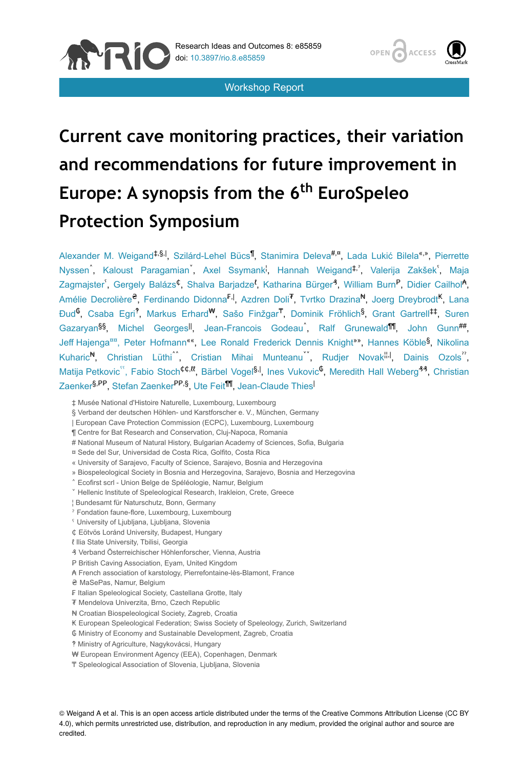

Workshop Report



# **Current cave monitoring practices, their variation and recommendations for future improvement in** Europe: A synopsis from the 6<sup>th</sup> EuroSpeleo **Protection Symposium**

Alexander M. Weigand<sup>‡,§,|</sup>, Szilárd-Lehel Bücs<sup>1</sup>, Stanimira Deleva<sup>#,¤</sup>, Lada Lukić Bilela<sup>«,»</sup>, Pierrette Nyssenî, Kaloust Paragamianĭ, Axel Ssymank<sup>i</sup>, Hannah Weigand<sup>‡,</sup>', Valerija Zakšek<sup>r</sup>, Maja Zagmajster<sup>'</sup>, Gergely Balázs<sup>¢</sup>, Shalva Barjadze<sup>ł</sup>, Katharina Bürger<sup>3</sup>, William Burn<sup>P</sup>, Didier Cailhol<sup>a</sup>, Amélie Decrolière<sup>e</sup>, Ferdinando Didonna<sup>F.I</sup>, Azdren Doli<sup>T</sup>, Tvrtko Drazina<sup>N</sup>, Joerg Dreybrodt<sup>K</sup>, Lana Đud<sup>6</sup>, Csaba Egri<sup>?</sup>, Markus Erhard<sup>w</sup>, Sašo Finžgar<sup>T</sup>, Dominik Fröhlich<sup>§</sup>, Grant Gartrell<sup>‡‡</sup>, Suren Gazaryan<sup>§§</sup>, Michel Georges<sup>II</sup>, Jean-Francois Godeau<sup>^</sup>, Ralf Grunewald<sup>111</sup>, John Gunn<sup>##</sup>, Jeff Hajenga<sup>nn</sup>, Peter Hofmann<sup>««</sup>, Lee Ronald Frederick Dennis Knight<sup>»»</sup>, Hannes Köble<sup>§</sup>, Nikolina Kuharic<sup>N</sup>, Christian Lüthi<sup>^^</sup>, Cristian Mihai Munteanu<sup>"</sup>, Rudjer Novak<sup>", I</sup>, Dainis Ozols<sup>"</sup>, Matija Petkovic<sup>ss</sup>, Fabio Stoch<sup>¢¢,tt</sup>, Bärbel Vogel<sup>§,|</sup>, Ines Vukovic<sup>6</sup>, Meredith Hall Weberg<sup>44</sup>, Christian Zaenker<sup>§,PP</sup>, Stefan Zaenker<sup>PP,§</sup>, Ute Feit<sup>¶¶</sup>, Jean-Claude Thies<sup>|</sup>

- | European Cave Protection Commission (ECPC), Luxembourg, Luxembourg
- ¶ Centre for Bat Research and Conservation, Cluj-Napoca, Romania
- # National Museum of Natural History, Bulgarian Academy of Sciences, Sofia, Bulgaria
- ¤ Sede del Sur, Universidad de Costa Rica, Golfito, Costa Rica
- « University of Sarajevo, Faculty of Science, Sarajevo, Bosnia and Herzegovina
- » Biospeleological Society in Bosnia and Herzegovina, Sarajevo, Bosnia and Herzegovina
- ˄ Ecofirst scrl Union Belge de Spéléologie, Namur, Belgium
- ˅ Hellenic Institute of Speleological Research, Irakleion, Crete, Greece
- ¦ Bundesamt für Naturschutz, Bonn, Germany
- ˀ Fondation faune-flore, Luxembourg, Luxembourg
- ˁ University of Ljubljana, Ljubljana, Slovenia
- ₵ Eötvös Loránd University, Budapest, Hungary
- ℓ Ilia State University, Tbilisi, Georgia
- ₰ Verband Österreichischer Höhlenforscher, Vienna, Austria
- P British Caving Association, Eyam, United Kingdom
- ₳ French association of karstology, Pierrefontaine-lès-Blamont, France
- ₴ MaSePas, Namur, Belgium
- ₣ Italian Speleological Society, Castellana Grotte, Italy
- ₮ Mendelova Univerzita, Brno, Czech Republic
- ₦ Croatian Biospeleological Society, Zagreb, Croatia
- ₭ European Speleological Federation; Swiss Society of Speleology, Zurich, Switzerland
- ₲ Ministry of Economy and Sustainable Development, Zagreb, Croatia
- ‽ Ministry of Agriculture, Nagykovácsi, Hungary
- ₩ European Environment Agency (EEA), Copenhagen, Denmark
- ₸ Speleological Association of Slovenia, Ljubljana, Slovenia

© Weigand A et al. This is an open access article distributed under the terms of the Creative Commons Attribution License (CC BY 4.0), which permits unrestricted use, distribution, and reproduction in any medium, provided the original author and source are credited.

<sup>‡</sup> Musée National d'Histoire Naturelle, Luxembourg, Luxembourg

<sup>§</sup> Verband der deutschen Höhlen- und Karstforscher e. V., München, Germany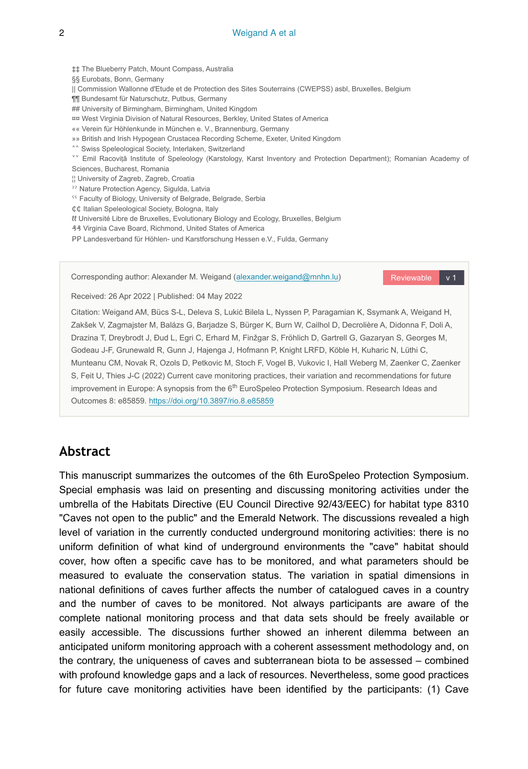#### 2 Weigand A et al

‡‡ The Blueberry Patch, Mount Compass, Australia §§ Eurobats, Bonn, Germany || Commission Wallonne d'Etude et de Protection des Sites Souterrains (CWEPSS) asbl, Bruxelles, Belgium ¶¶ Bundesamt für Naturschutz, Putbus, Germany ## University of Birmingham, Birmingham, United Kingdom ¤¤ West Virginia Division of Natural Resources, Berkley, United States of America «« Verein für Höhlenkunde in München e. V., Brannenburg, Germany »» British and Irish Hypogean Crustacea Recording Scheme, Exeter, United Kingdom <sup>^^</sup> Swiss Speleological Society, Interlaken, Switzerland ˅˅ Emil Racoviță Institute of Speleology (Karstology, Karst Inventory and Protection Department); Romanian Academy of Sciences, Bucharest, Romania ¦¦ University of Zagreb, Zagreb, Croatia ˀˀ Nature Protection Agency, Sigulda, Latvia <sup>55</sup> Faculty of Biology, University of Belgrade, Belgrade, Serbia ₵₵ Italian Speleological Society, Bologna, Italy ℓℓ Université Libre de Bruxelles, Evolutionary Biology and Ecology, Bruxelles, Belgium ₰₰ Virginia Cave Board, Richmond, United States of America PP Landesverband für Höhlen- und Karstforschung Hessen e.V., Fulda, Germany

Corresponding author: Alexander M. Weigand [\(alexander.weigand@mnhn.lu](mailto:alexander.weigand@mnhn.lu))

Reviewable v 1

Received: 26 Apr 2022 | Published: 04 May 2022

Citation: Weigand AM, Bücs S-L, Deleva S, Lukić Bilela L, Nyssen P, Paragamian K, Ssymank A, Weigand H, Zakšek V, Zagmajster M, Balázs G, Barjadze S, Bürger K, Burn W, Cailhol D, Decrolière A, Didonna F, Doli A, Drazina T, Dreybrodt J, Ðud L, Egri C, Erhard M, Finžgar S, Fröhlich D, Gartrell G, Gazaryan S, Georges M, Godeau J-F, Grunewald R, Gunn J, Hajenga J, Hofmann P, Knight LRFD, Köble H, Kuharic N, Lüthi C, Munteanu CM, Novak R, Ozols D, Petkovic M, Stoch F, Vogel B, Vukovic I, Hall Weberg M, Zaenker C, Zaenker S, Feit U, Thies J-C (2022) Current cave monitoring practices, their variation and recommendations for future improvement in Europe: A synopsis from the 6<sup>th</sup> EuroSpeleo Protection Symposium. Research Ideas and Outcomes 8: e85859. <https://doi.org/10.3897/rio.8.e85859>

## **Abstract**

This manuscript summarizes the outcomes of the 6th EuroSpeleo Protection Symposium. Special emphasis was laid on presenting and discussing monitoring activities under the umbrella of the Habitats Directive (EU Council Directive 92/43/EEC) for habitat type 8310 "Caves not open to the public" and the Emerald Network. The discussions revealed a high level of variation in the currently conducted underground monitoring activities: there is no uniform definition of what kind of underground environments the "cave" habitat should cover, how often a specific cave has to be monitored, and what parameters should be measured to evaluate the conservation status. The variation in spatial dimensions in national definitions of caves further affects the number of catalogued caves in a country and the number of caves to be monitored. Not always participants are aware of the complete national monitoring process and that data sets should be freely available or easily accessible. The discussions further showed an inherent dilemma between an anticipated uniform monitoring approach with a coherent assessment methodology and, on the contrary, the uniqueness of caves and subterranean biota to be assessed – combined with profound knowledge gaps and a lack of resources. Nevertheless, some good practices for future cave monitoring activities have been identified by the participants: (1) Cave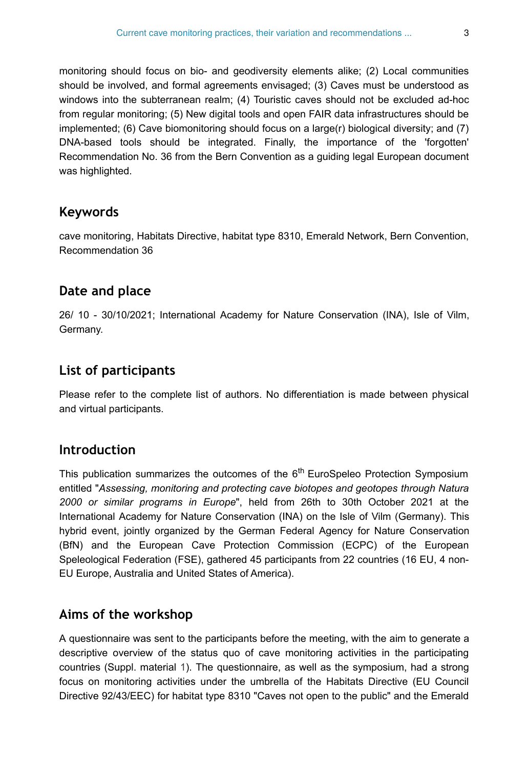monitoring should focus on bio- and geodiversity elements alike; (2) Local communities should be involved, and formal agreements envisaged; (3) Caves must be understood as windows into the subterranean realm; (4) Touristic caves should not be excluded ad-hoc from regular monitoring; (5) New digital tools and open FAIR data infrastructures should be implemented; (6) Cave biomonitoring should focus on a large(r) biological diversity; and (7) DNA-based tools should be integrated. Finally, the importance of the 'forgotten' Recommendation No. 36 from the Bern Convention as a guiding legal European document was highlighted.

## **Keywords**

cave monitoring, Habitats Directive, habitat type 8310, Emerald Network, Bern Convention, Recommendation 36

## **Date and place**

26/ 10 - 30/10/2021; International Academy for Nature Conservation (INA), Isle of Vilm, Germany.

## **List of participants**

Please refer to the complete list of authors. No differentiation is made between physical and virtual participants.

## **Introduction**

This publication summarizes the outcomes of the 6<sup>th</sup> EuroSpeleo Protection Symposium entitled "*Assessing, monitoring and protecting cave biotopes and geotopes through Natura 2000 or similar programs in Europe*", held from 26th to 30th October 2021 at the International Academy for Nature Conservation (INA) on the Isle of Vilm (Germany). Тhis hybrid event, jointly organized by the German Federal Agency for Nature Conservation (BfN) and the European Cave Protection Commission (ECPC) of the European Speleological Federation (FSE), gathered 45 participants from 22 countries (16 EU, 4 non-EU Europe, Australia and United States of America).

## **Aims of the workshop**

A questionnaire was sent to the participants before the meeting, with the aim to generate a descriptive overview of the status quo of cave monitoring activities in the participating countries (Suppl. material [1](#page-15-0)). The questionnaire, as well as the symposium, had a strong focus on monitoring activities under the umbrella of the Habitats Directive (EU Council Directive 92/43/EEC) for habitat type 8310 "Caves not open to the public" and the Emerald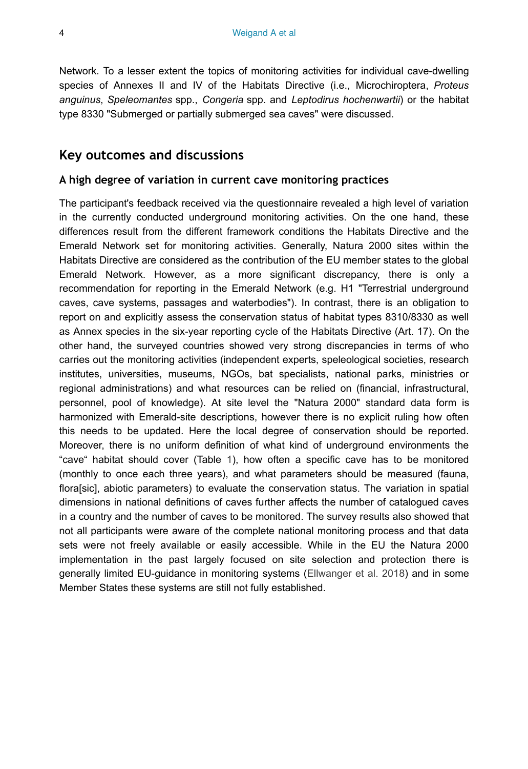Network. To a lesser extent the topics of monitoring activities for individual cave-dwelling species of Annexes II and IV of the Habitats Directive (i.e., Microchiroptera, *Proteus anguinus*, *Speleomantes* spp., *Congeria* spp. and *Leptodirus hochenwartii*) or the habitat type 8330 "Submerged or partially submerged sea caves" were discussed.

## **Key outcomes and discussions**

#### **A high degree of variation in current cave monitoring practices**

The participant's feedback received via the questionnaire revealed a high level of variation in the currently conducted underground monitoring activities. On the one hand, these differences result from the different framework conditions the Habitats Directive and the Emerald Network set for monitoring activities. Generally, Natura 2000 sites within the Habitats Directive are considered as the contribution of the EU member states to the global Emerald Network. However, as a more significant discrepancy, there is only a recommendation for reporting in the Emerald Network (e.g. H1 "Terrestrial underground caves, cave systems, passages and waterbodies"). In contrast, there is an obligation to report on and explicitly assess the conservation status of habitat types 8310/8330 as well as Annex species in the six-year reporting cycle of the Habitats Directive (Art. 17). On the other hand, the surveyed countries showed very strong discrepancies in terms of who carries out the monitoring activities (independent experts, speleological societies, research institutes, universities, museums, NGOs, bat specialists, national parks, ministries or regional administrations) and what resources can be relied on (financial, infrastructural, personnel, pool of knowledge). At site level the "Natura 2000" standard data form is harmonized with Emerald-site descriptions, however there is no explicit ruling how often this needs to be updated. Here the local degree of conservation should be reported. Moreover, there is no uniform definition of what kind of underground environments the "cave" habitat should cover (Table [1\)](#page-4-0), how often a specific cave has to be monitored (monthly to once each three years), and what parameters should be measured (fauna, flora[sic], abiotic parameters) to evaluate the conservation status. The variation in spatial dimensions in national definitions of caves further affects the number of catalogued caves in a country and the number of caves to be monitored. The survey results also showed that not all participants were aware of the complete national monitoring process and that data sets were not freely available or easily accessible. While in the EU the Natura 2000 implementation in the past largely focused on site selection and protection there is generally limited EU-guidance in monitoring systems ([Ellwanger et al. 2018](#page-12-0)) and in some Member States these systems are still not fully established.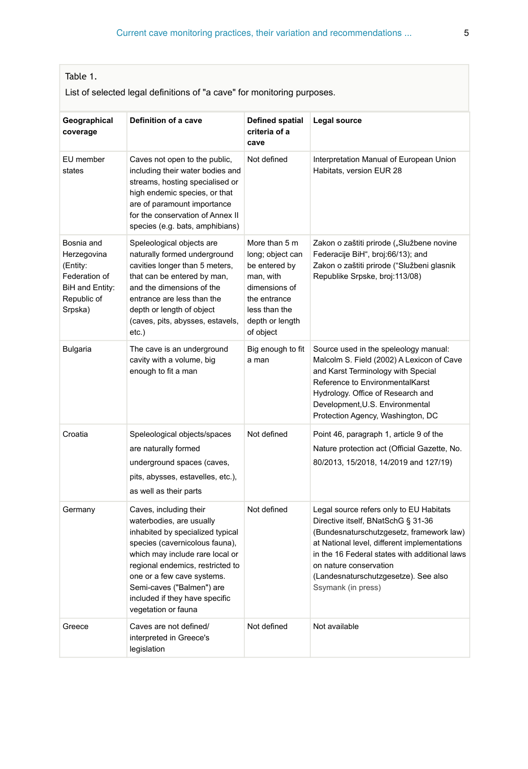#### <span id="page-4-0"></span>Table 1.

List of selected legal definitions of "a cave" for monitoring purposes.

| Geographical<br>coverage                                                                            | Definition of a cave                                                                                                                                                                                                                                                                                                | <b>Defined spatial</b><br>criteria of a<br>cave                                                                                                   | Legal source                                                                                                                                                                                                                                                                                                       |
|-----------------------------------------------------------------------------------------------------|---------------------------------------------------------------------------------------------------------------------------------------------------------------------------------------------------------------------------------------------------------------------------------------------------------------------|---------------------------------------------------------------------------------------------------------------------------------------------------|--------------------------------------------------------------------------------------------------------------------------------------------------------------------------------------------------------------------------------------------------------------------------------------------------------------------|
| EU member<br>states                                                                                 | Caves not open to the public,<br>including their water bodies and<br>streams, hosting specialised or<br>high endemic species, or that<br>are of paramount importance<br>for the conservation of Annex II<br>species (e.g. bats, amphibians)                                                                         | Not defined                                                                                                                                       | Interpretation Manual of European Union<br>Habitats, version EUR 28                                                                                                                                                                                                                                                |
| Bosnia and<br>Herzegovina<br>(Entity:<br>Federation of<br>BiH and Entity:<br>Republic of<br>Srpska) | Speleological objects are<br>naturally formed underground<br>cavities longer than 5 meters,<br>that can be entered by man,<br>and the dimensions of the<br>entrance are less than the<br>depth or length of object<br>(caves, pits, abysses, estavels,<br>$etc.$ )                                                  | More than 5 m<br>long; object can<br>be entered by<br>man, with<br>dimensions of<br>the entrance<br>less than the<br>depth or length<br>of object | Zakon o zaštiti prirode ("Službene novine<br>Federacije BiH", broj:66/13); and<br>Zakon o zaštiti prirode ("Službeni glasnik<br>Republike Srpske, broj: 113/08)                                                                                                                                                    |
| <b>Bulgaria</b>                                                                                     | The cave is an underground<br>cavity with a volume, big<br>enough to fit a man                                                                                                                                                                                                                                      | Big enough to fit<br>a man                                                                                                                        | Source used in the speleology manual:<br>Malcolm S. Field (2002) A Lexicon of Cave<br>and Karst Terminology with Special<br>Reference to EnvironmentalKarst<br>Hydrology. Office of Research and<br>Development, U.S. Environmental<br>Protection Agency, Washington, DC                                           |
| Croatia                                                                                             | Speleological objects/spaces<br>are naturally formed<br>underground spaces (caves,<br>pits, abysses, estavelles, etc.),<br>as well as their parts                                                                                                                                                                   | Not defined                                                                                                                                       | Point 46, paragraph 1, article 9 of the<br>Nature protection act (Official Gazette, No.<br>80/2013, 15/2018, 14/2019 and 127/19)                                                                                                                                                                                   |
| Germany                                                                                             | Caves, including their<br>waterbodies, are usually<br>inhabited by specialized typical<br>species (cavernicolous fauna),<br>which may include rare local or<br>regional endemics, restricted to<br>one or a few cave systems.<br>Semi-caves ("Balmen") are<br>included if they have specific<br>vegetation or fauna | Not defined                                                                                                                                       | Legal source refers only to EU Habitats<br>Directive itself, BNatSchG § 31-36<br>(Bundesnaturschutzgesetz, framework law)<br>at National level, different implementations<br>in the 16 Federal states with additional laws<br>on nature conservation<br>(Landesnaturschutzgesetze). See also<br>Ssymank (in press) |
| Greece                                                                                              | Caves are not defined/<br>interpreted in Greece's<br>legislation                                                                                                                                                                                                                                                    | Not defined                                                                                                                                       | Not available                                                                                                                                                                                                                                                                                                      |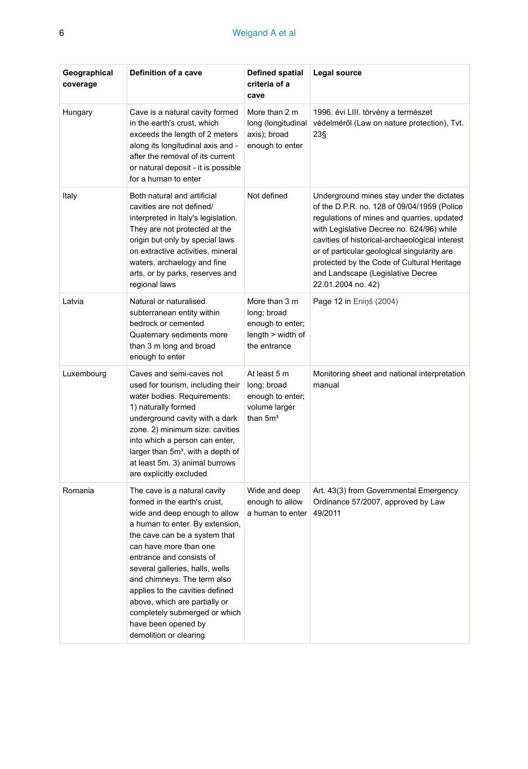| Geographical<br>coverage | Definition of a cave                                                                                                                                                                                                                                                                                                                                                                                                                            | Defined spatial<br>criteria of a<br>cave                                                | Legal source                                                                                                                                                                                                                                                                                                                                                                                  |
|--------------------------|-------------------------------------------------------------------------------------------------------------------------------------------------------------------------------------------------------------------------------------------------------------------------------------------------------------------------------------------------------------------------------------------------------------------------------------------------|-----------------------------------------------------------------------------------------|-----------------------------------------------------------------------------------------------------------------------------------------------------------------------------------------------------------------------------------------------------------------------------------------------------------------------------------------------------------------------------------------------|
| Hungary                  | Cave is a natural cavity formed<br>in the earth's crust, which<br>exceeds the length of 2 meters<br>along its longitudinal axis and -<br>after the removal of its current<br>or natural deposit - it is possible<br>for a human to enter                                                                                                                                                                                                        | More than 2 m<br>long (longitudinal<br>axis); broad<br>enough to enter                  | 1996. évi LIII. törvény a természet<br>védelméről (Law on nature protection), Tvt.<br>23§                                                                                                                                                                                                                                                                                                     |
| Italy                    | Both natural and artificial<br>cavities are not defined/<br>interpreted in Italy's legislation.<br>They are not protected at the<br>origin but only by special laws<br>on extractive activities, mineral<br>waters, archaelogy and fine<br>arts, or by parks, reserves and<br>regional laws                                                                                                                                                     | Not defined                                                                             | Underground mines stay under the dictates<br>of the D.P.R. no. 128 of 09/04/1959 (Police<br>regulations of mines and quarries, updated<br>with Legislative Decree no. 624/96) while<br>cavities of historical-archaeological interest<br>or of particular geological singularity are<br>protected by the Code of Cultural Heritage<br>and Landscape (Legislative Decree<br>22.01.2004 no. 42) |
| Latvia                   | Natural or naturalised<br>subterranean entity within<br>bedrock or cemented<br>Quaternary sediments more<br>than 3 m long and broad<br>enough to enter                                                                                                                                                                                                                                                                                          | More than 3 m<br>long; broad<br>enough to enter;<br>$length$ > width of<br>the entrance | Page 12 in Ening (2004)                                                                                                                                                                                                                                                                                                                                                                       |
| Luxembourg               | Caves and semi-caves not<br>used for tourism, including their<br>water bodies. Requirements:<br>1) naturally formed<br>underground cavity with a dark<br>zone. 2) minimum size: cavities<br>into which a person can enter,<br>larger than 5m <sup>3</sup> , with a depth of<br>at least 5m. 3) animal burrows<br>are explicitly excluded                                                                                                        | At least 5 m<br>long; broad<br>enough to enter;<br>volume larger<br>than $5m3$          | Monitoring sheet and national interpretation<br>manual                                                                                                                                                                                                                                                                                                                                        |
| Romania                  | The cave is a natural cavity<br>formed in the earth's crust,<br>wide and deep enough to allow<br>a human to enter. By extension,<br>the cave can be a system that<br>can have more than one<br>entrance and consists of<br>several galleries, halls, wells<br>and chimneys. The term also<br>applies to the cavities defined<br>above, which are partially or<br>completely submerged or which<br>have been opened by<br>demolition or clearing | Wide and deep<br>enough to allow<br>a human to enter                                    | Art. 43(3) from Governmental Emergency<br>Ordinance 57/2007, approved by Law<br>49/2011                                                                                                                                                                                                                                                                                                       |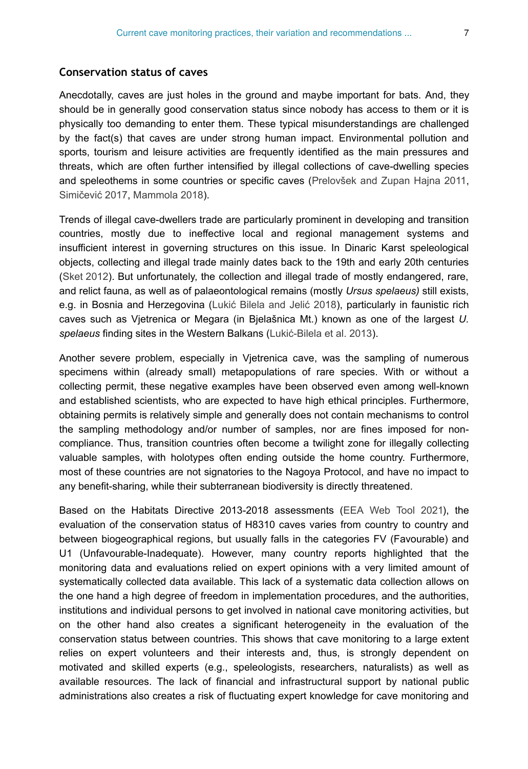#### **Conservation status of caves**

Anecdotally, caves are just holes in the ground and maybe important for bats. And, they should be in generally good conservation status since nobody has access to them or it is physically too demanding to enter them. These typical misunderstandings are challenged by the fact(s) that caves are under strong human impact. Environmental pollution and sports, tourism and leisure activities are frequently identified as the main pressures and threats, which are often further intensified by illegal collections of cave-dwelling species and speleothems in some countries or specific caves ([Prelovšek and Zupan Hajna 2011,](#page-14-1) Simičević [2017,](#page-14-2) [Mammola 2018\)](#page-13-0).

Trends of illegal cave-dwellers trade are particularly prominent in developing and transition countries, mostly due to ineffective local and regional management systems and insufficient interest in governing structures on this issue. In Dinaric Karst speleological objects, collecting and illegal trade mainly dates back to the 19th and early 20th centuries [\(Sket 2012\)](#page-14-3). But unfortunately, the collection and illegal trade of mostly endangered, rare, and relict fauna, as well as of palaeontological remains (mostly *Ursus spelaeus)* still exists, e.g. in Bosnia and Herzegovina (Lukić [Bilela and Jeli](#page-13-1)ć 2018), particularly in faunistic rich caves such as Vjetrenica or Megara (in Bjelašnica Mt.) known as one of the largest *U. spelaeus* finding sites in the Western Balkans (Lukić[-Bilela et al. 2013](#page-13-2)).

Another severe problem, especially in Vjetrenica cave, was the sampling of numerous specimens within (already small) metapopulations of rare species. With or without a collecting permit, these negative examples have been observed even among well-known and established scientists, who are expected to have high ethical principles. Furthermore, obtaining permits is relatively simple and generally does not contain mechanisms to control the sampling methodology and/or number of samples, nor are fines imposed for noncompliance. Thus, transition countries often become a twilight zone for illegally collecting valuable samples, with holotypes often ending outside the home country. Furthermore, most of these countries are not signatories to the Nagoya Protocol, and have no impact to any benefit-sharing, while their subterranean biodiversity is directly threatened.

Based on the Habitats Directive 2013-2018 assessments ([EEA Web Tool 2021\)](#page-12-2), the evaluation of the conservation status of H8310 caves varies from country to country and between biogeographical regions, but usually falls in the categories FV (Favourable) and U1 (Unfavourable-Inadequate). However, many country reports highlighted that the monitoring data and evaluations relied on expert opinions with a very limited amount of systematically collected data available. This lack of a systematic data collection allows on the one hand a high degree of freedom in implementation procedures, and the authorities, institutions and individual persons to get involved in national cave monitoring activities, but on the other hand also creates a significant heterogeneity in the evaluation of the conservation status between countries. This shows that cave monitoring to a large extent relies on expert volunteers and their interests and, thus, is strongly dependent on motivated and skilled experts (e.g., speleologists, researchers, naturalists) as well as available resources. The lack of financial and infrastructural support by national public administrations also creates a risk of fluctuating expert knowledge for cave monitoring and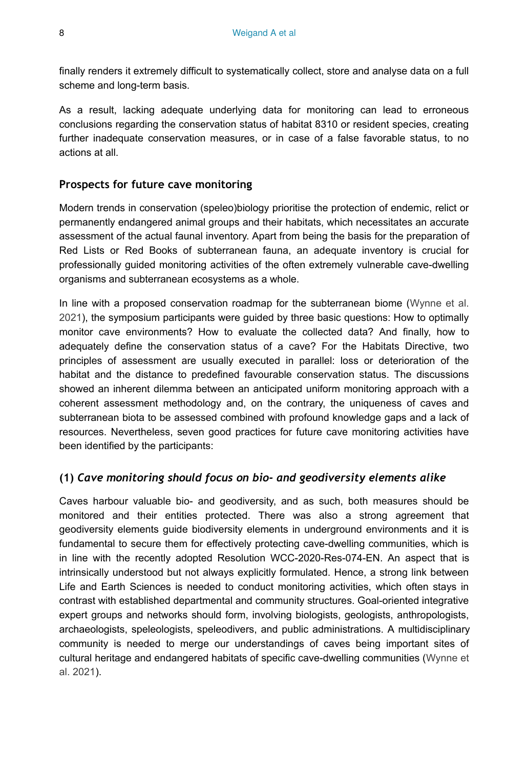finally renders it extremely difficult to systematically collect, store and analyse data on a full scheme and long-term basis.

As a result, lacking adequate underlying data for monitoring can lead to erroneous conclusions regarding the conservation status of habitat 8310 or resident species, creating further inadequate conservation measures, or in case of a false favorable status, to no actions at all.

#### **Prospects for future cave monitoring**

Modern trends in conservation (speleo)biology prioritise the protection of endemic, relict or permanently endangered animal groups and their habitats, which necessitates an accurate assessment of the actual faunal inventory. Apart from being the basis for the preparation of Red Lists or Red Books of subterranean fauna, an adequate inventory is crucial for professionally guided monitoring activities of the often extremely vulnerable cave-dwelling organisms and subterranean ecosystems as a whole.

In line with a proposed conservation roadmap for the subterranean biome ([Wynne et al.](#page-15-1) [2021](#page-15-1)), the symposium participants were guided by three basic questions: How to optimally monitor cave environments? How to evaluate the collected data? And finally, how to adequately define the conservation status of a cave? For the Habitats Directive, two principles of assessment are usually executed in parallel: loss or deterioration of the habitat and the distance to predefined favourable conservation status. The discussions showed an inherent dilemma between an anticipated uniform monitoring approach with a coherent assessment methodology and, on the contrary, the uniqueness of caves and subterranean biota to be assessed combined with profound knowledge gaps and a lack of resources. Nevertheless, seven good practices for future cave monitoring activities have been identified by the participants:

#### **(1)** *Cave monitoring should focus on bio- and geodiversity elements alike*

Caves harbour valuable bio- and geodiversity, and as such, both measures should be monitored and their entities protected. There was also a strong agreement that geodiversity elements guide biodiversity elements in underground environments and it is fundamental to secure them for effectively protecting cave-dwelling communities, which is in line with the recently adopted Resolution WCC-2020-Res-074-EN. An aspect that is intrinsically understood but not always explicitly formulated. Hence, a strong link between Life and Earth Sciences is needed to conduct monitoring activities, which often stays in contrast with established departmental and community structures. Goal-oriented integrative expert groups and networks should form, involving biologists, geologists, anthropologists, archaeologists, speleologists, speleodivers, and public administrations. A multidisciplinary community is needed to merge our understandings of caves being important sites of cultural heritage and endangered habitats of specific cave-dwelling communities [\(Wynne et](#page-15-1) [al. 2021](#page-15-1)).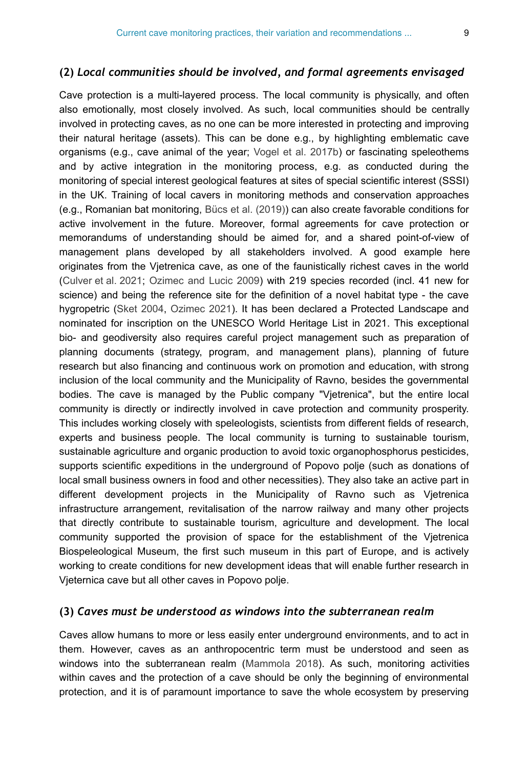#### **(2)** *Local communities should be involved, and formal agreements envisaged*

Cave protection is a multi-layered process. The local community is physically, and often also emotionally, most closely involved. As such, local communities should be centrally involved in protecting caves, as no one can be more interested in protecting and improving their natural heritage (assets). This can be done e.g., by highlighting emblematic cave organisms (e.g., cave animal of the year; [Vogel et al. 2017b\)](#page-14-4) or fascinating speleothems and by active integration in the monitoring process, e.g. as conducted during the monitoring of special interest geological features at sites of special scientific interest (SSSI) in the UK. Training of local cavers in monitoring methods and conservation approaches (e.g., Romanian bat monitoring, [Bücs et al. \(2019\)](#page-11-0)) can also create favorable conditions for active involvement in the future. Moreover, formal agreements for cave protection or memorandums of understanding should be aimed for, and a shared point-of-view of management plans developed by all stakeholders involved. A good example here originates from the Vjetrenica cave, as one of the faunistically richest caves in the world [\(Culver et al. 2021;](#page-12-3) [Ozimec and Lucic 2009\)](#page-13-3) with 219 species recorded (incl. 41 new for science) and being the reference site for the definition of a novel habitat type - the cave hygropetric [\(Sket 2004](#page-14-5), [Ozimec 2021](#page-13-4)). It has been declared a Protected Landscape and nominated for inscription on the UNESCO World Heritage List in 2021. This exceptional bio- and geodiversity also requires careful project management such as preparation of planning documents (strategy, program, and management plans), planning of future research but also financing and continuous work on promotion and education, with strong inclusion of the local community and the Municipality of Ravno, besides the governmental bodies. The cave is managed by the Public company "Vjetrenica", but the entire local community is directly or indirectly involved in cave protection and community prosperity. This includes working closely with speleologists, scientists from different fields of research, experts and business people. The local community is turning to sustainable tourism, sustainable agriculture and organic production to avoid toxic organophosphorus pesticides, supports scientific expeditions in the underground of Popovo polje (such as donations of local small business owners in food and other necessities). They also take an active part in different development projects in the Municipality of Ravno such as Vjetrenica infrastructure arrangement, revitalisation of the narrow railway and many other projects that directly contribute to sustainable tourism, agriculture and development. The local community supported the provision of space for the establishment of the Vjetrenica Biospeleological Museum, the first such museum in this part of Europe, and is actively working to create conditions for new development ideas that will enable further research in Vjeternica cave but all other caves in Popovo polje.

#### **(3)** *Caves must be understood as windows into the subterranean realm*

Caves allow humans to more or less easily enter underground environments, and to act in them. However, caves as an anthropocentric term must be understood and seen as windows into the subterranean realm [\(Mammola 2018\)](#page-13-0). As such, monitoring activities within caves and the protection of a cave should be only the beginning of environmental protection, and it is of paramount importance to save the whole ecosystem by preserving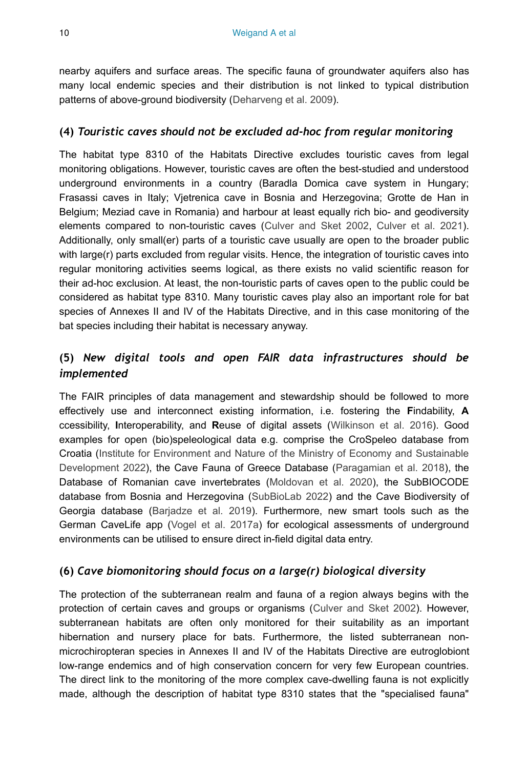nearby aquifers and surface areas. The specific fauna of groundwater aquifers also has many local endemic species and their distribution is not linked to typical distribution patterns of above-ground biodiversity ([Deharveng et al. 2009\)](#page-12-4).

### **(4)** *Touristic caves should not be excluded ad-hoc from regular monitoring*

The habitat type 8310 of the Habitats Directive excludes touristic caves from legal monitoring obligations. However, touristic caves are often the best-studied and understood underground environments in a country (Baradla Domica cave system in Hungary; Frasassi caves in Italy; Vjetrenica cave in Bosnia and Herzegovina; Grotte de Han in Belgium; Meziad cave in Romania) and harbour at least equally rich bio- and geodiversity elements compared to non-touristic caves [\(Culver and Sket 2002,](#page-12-5) [Culver et al. 2021\)](#page-12-3). Additionally, only small(er) parts of a touristic cave usually are open to the broader public with large(r) parts excluded from regular visits. Hence, the integration of touristic caves into regular monitoring activities seems logical, as there exists no valid scientific reason for their ad-hoc exclusion. At least, the non-touristic parts of caves open to the public could be considered as habitat type 8310. Many touristic caves play also an important role for bat species of Annexes II and IV of the Habitats Directive, and in this case monitoring of the bat species including their habitat is necessary anyway.

## **(5)** *New digital tools and open FAIR data infrastructures should be implemented*

The FAIR principles of data management and stewardship should be followed to more effectively use and interconnect existing information, i.e. fostering the **F**indability, **A** ccessibility, **I**nteroperability, and **R**euse of digital assets ([Wilkinson et al. 2016\)](#page-15-2). Good examples for open (bio)speleological data e.g. comprise the CroSpeleo database from Croatia ([Institute for Environment and Nature of the Ministry of Economy and Sustainable](#page-12-6) [Development 2022](#page-12-6)), the Cave Fauna of Greece Database [\(Paragamian et al. 2018\)](#page-13-5), the Database of Romanian cave invertebrates ([Moldovan et al. 2020\)](#page-13-6), the SubBIOCODE database from Bosnia and Herzegovina ([SubBioLab 2022\)](#page-14-6) and the Cave Biodiversity of Georgia database ([Barjadze et al. 2019\)](#page-11-1). Furthermore, new smart tools such as the German CaveLife app [\(Vogel et al. 2017a](#page-14-7)) for ecological assessments of underground environments can be utilised to ensure direct in-field digital data entry.

## **(6)** *Cave biomonitoring should focus on a large(r) biological diversity*

The protection of the subterranean realm and fauna of a region always begins with the protection of certain caves and groups or organisms [\(Culver and Sket 2002](#page-12-5)). However, subterranean habitats are often only monitored for their suitability as an important hibernation and nursery place for bats. Furthermore, the listed subterranean nonmicrochiropteran species in Annexes II and IV of the Habitats Directive are eutroglobiont low-range endemics and of high conservation concern for very few European countries. The direct link to the monitoring of the more complex cave-dwelling fauna is not explicitly made, although the description of habitat type 8310 states that the "specialised fauna"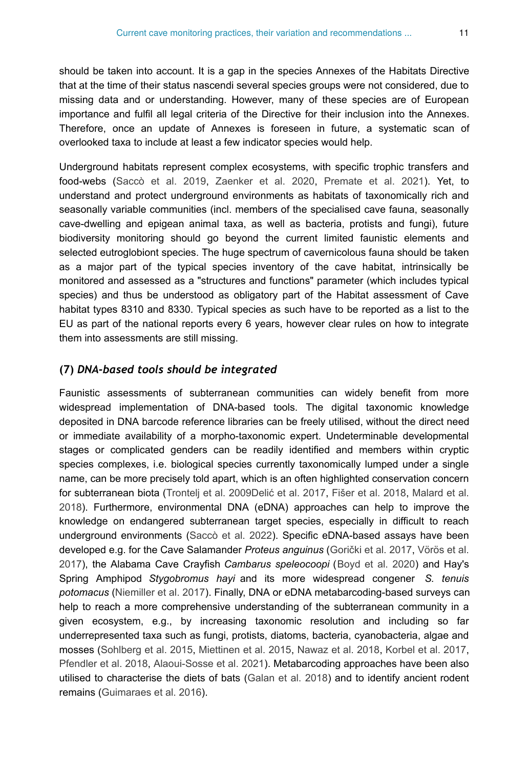should be taken into account. It is a gap in the species Annexes of the Habitats Directive that at the time of their status nascendi several species groups were not considered, due to missing data and or understanding. However, many of these species are of European importance and fulfil all legal criteria of the Directive for their inclusion into the Annexes. Therefore, once an update of Annexes is foreseen in future, a systematic scan of overlooked taxa to include at least a few indicator species would help.

Underground habitats represent complex ecosystems, with specific trophic transfers and food-webs ([Saccò et al. 2019](#page-14-8), [Zaenker et al. 2020](#page-15-3), [Premate et al. 2021\)](#page-14-9). Yet, to understand and protect underground environments as habitats of taxonomically rich and seasonally variable communities (incl. members of the specialised cave fauna, seasonally cave-dwelling and epigean animal taxa, as well as bacteria, protists and fungi), future biodiversity monitoring should go beyond the current limited faunistic elements and selected eutroglobiont species. The huge spectrum of cavernicolous fauna should be taken as a major part of the typical species inventory of the cave habitat, intrinsically be monitored and assessed as a "structures and functions" parameter (which includes typical species) and thus be understood as obligatory part of the Habitat assessment of Cave habitat types 8310 and 8330. Typical species as such have to be reported as a list to the EU as part of the national reports every 6 years, however clear rules on how to integrate them into assessments are still missing.

#### **(7)** *DNA-based tools should be integrated*

Faunistic assessments of subterranean communities can widely benefit from more widespread implementation of DNA-based tools. The digital taxonomic knowledge deposited in DNA barcode reference libraries can be freely utilised, without the direct need or immediate availability of a morpho-taxonomic expert. Undeterminable developmental stages or complicated genders can be readily identified and members within cryptic species complexes, i.e. biological species currently taxonomically lumped under a single name, can be more precisely told apart, which is an often highlighted conservation concern for subterranean biota [\(Trontelj et al. 2009D](#page-14-10)elić [et al. 2017](#page-12-7), [Fišer et al. 2018,](#page-12-8) [Malard et al.](#page-13-7) [2018](#page-13-7)). Furthermore, environmental DNA (eDNA) approaches can help to improve the knowledge on endangered subterranean target species, especially in difficult to reach underground environments ([Saccò et al. 2022\)](#page-14-11). Specific eDNA-based assays have been developed e.g. for the Cave Salamander *Proteus anguinus* (Gorič[ki et al. 2017,](#page-12-9) [Vörös et al.](#page-15-4) [2017](#page-15-4)), the Alabama Cave Crayfish *Cambarus speleocoopi* ([Boyd et al. 2020](#page-11-2)) and Hay's Spring Amphipod *Stygobromus hayi* and its more widespread congener *S. tenuis potomacus* ([Niemiller et al. 2017\)](#page-13-8). Finally, DNA or eDNA metabarcoding-based surveys can help to reach a more comprehensive understanding of the subterranean community in a given ecosystem, e.g., by increasing taxonomic resolution and including so far underrepresented taxa such as fungi, protists, diatoms, bacteria, cyanobacteria, algae and mosses [\(Sohlberg et al. 2015,](#page-14-12) [Miettinen et al. 2015,](#page-13-9) [Nawaz et al. 2018](#page-13-10), [Korbel et al. 2017,](#page-12-10) [Pfendler et al. 2018,](#page-13-11) [Alaoui-Sosse et al. 2021\)](#page-11-3). Metabarcoding approaches have been also utilised to characterise the diets of bats [\(Galan et al. 2018](#page-12-11)) and to identify ancient rodent remains ([Guimaraes et al. 2016](#page-12-12)).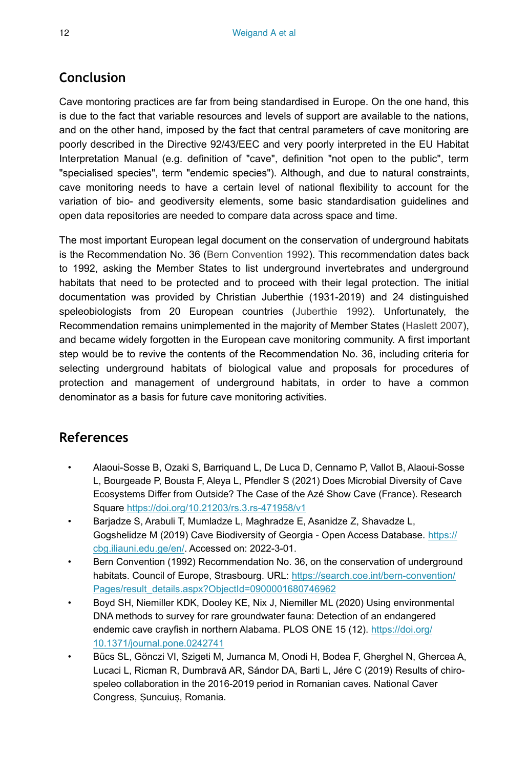## **Conclusion**

Cave montoring practices are far from being standardised in Europe. On the one hand, this is due to the fact that variable resources and levels of support are available to the nations, and on the other hand, imposed by the fact that central parameters of cave monitoring are poorly described in the Directive 92/43/EEC and very poorly interpreted in the EU Habitat Interpretation Manual (e.g. definition of "cave", definition "not open to the public", term "specialised species", term "endemic species"). Although, and due to natural constraints, cave monitoring needs to have a certain level of national flexibility to account for the variation of bio- and geodiversity elements, some basic standardisation guidelines and open data repositories are needed to compare data across space and time.

The most important European legal document on the conservation of underground habitats is the Recommendation No. 36 [\(Bern Convention 1992](#page-11-4)). This recommendation dates back to 1992, asking the Member States to list underground invertebrates and underground habitats that need to be protected and to proceed with their legal protection. The initial documentation was provided by Christian Juberthie (1931-2019) and 24 distinguished speleobiologists from 20 European countries ([Juberthie 1992](#page-12-13)). Unfortunately, the Recommendation remains unimplemented in the majority of Member States [\(Haslett 2007\)](#page-12-14), and became widely forgotten in the European cave monitoring community. A first important step would be to revive the contents of the Recommendation No. 36, including criteria for selecting underground habitats of biological value and proposals for procedures of protection and management of underground habitats, in order to have a common denominator as a basis for future cave monitoring activities.

## **References**

- <span id="page-11-3"></span>• Alaoui-Sosse B, Ozaki S, Barriquand L, De Luca D, Cennamo P, Vallot B, Alaoui-Sosse L, Bourgeade P, Bousta F, Aleya L, Pfendler S (2021) Does Microbial Diversity of Cave Ecosystems Differ from Outside? The Case of the Azé Show Cave (France). Research Square<https://doi.org/10.21203/rs.3.rs-471958/v1>
- <span id="page-11-1"></span>• Barjadze S, Arabuli T, Mumladze L, Maghradze E, Asanidze Z, Shavadze L, Gogshelidze M (2019) Cave Biodiversity of Georgia - Open Access Database. [https://](https://cbg.iliauni.edu.ge/en/) [cbg.iliauni.edu.ge/en/](https://cbg.iliauni.edu.ge/en/). Accessed on: 2022-3-01.
- <span id="page-11-4"></span>• Bern Convention (1992) Recommendation No. 36, on the conservation of underground habitats. Council of Europe, Strasbourg. URL: [https://search.coe.int/bern-convention/](https://search.coe.int/bern-convention/Pages/result_details.aspx?ObjectId=0900001680746962) [Pages/result\\_details.aspx?ObjectId=0900001680746962](https://search.coe.int/bern-convention/Pages/result_details.aspx?ObjectId=0900001680746962)
- <span id="page-11-2"></span>• Boyd SH, Niemiller KDK, Dooley KE, Nix J, Niemiller ML (2020) Using environmental DNA methods to survey for rare groundwater fauna: Detection of an endangered endemic cave crayfish in northern Alabama. PLOS ONE 15 (12). [https://doi.org/](https://doi.org/10.1371/journal.pone.0242741) [10.1371/journal.pone.0242741](https://doi.org/10.1371/journal.pone.0242741)
- <span id="page-11-0"></span>• Bücs SL, Gönczi VI, Szigeti M, Jumanca M, Onodi H, Bodea F, Gherghel N, Ghercea A, Lucaci L, Ricman R, Dumbravă AR, Sándor DA, Barti L, Jére C (2019) Results of chirospeleo collaboration in the 2016-2019 period in Romanian caves. National Caver Congress, Șuncuiuș, Romania.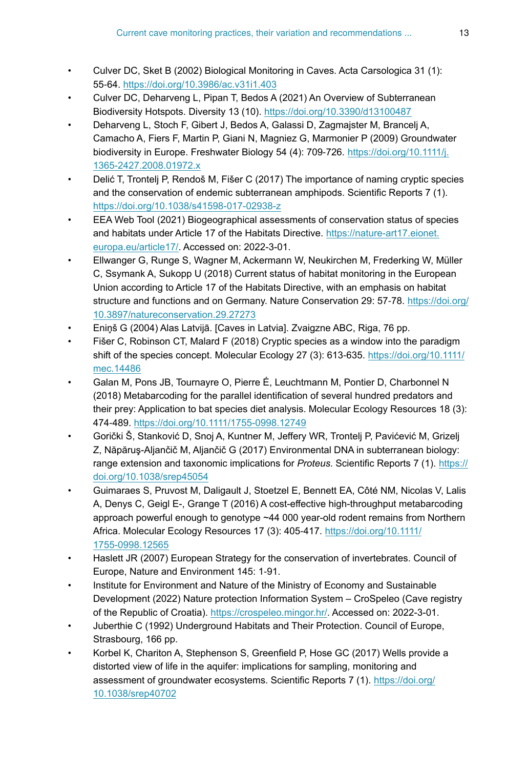- <span id="page-12-5"></span>• Culver DC, Sket B (2002) Biological Monitoring in Caves. Acta Carsologica 31 (1): 55‑64.<https://doi.org/10.3986/ac.v31i1.403>
- <span id="page-12-3"></span>• Culver DC, Deharveng L, Pipan T, Bedos A (2021) An Overview of Subterranean Biodiversity Hotspots. Diversity 13 (10). <https://doi.org/10.3390/d13100487>
- <span id="page-12-4"></span>• Deharveng L, Stoch F, Gibert J, Bedos A, Galassi D, Zagmajster M, Brancelj A, Camacho A, Fiers F, Martin P, Giani N, Magniez G, Marmonier P (2009) Groundwater biodiversity in Europe. Freshwater Biology 54 (4): 709-726. [https://doi.org/10.1111/j.](https://doi.org/10.1111/j.1365-2427.2008.01972.x) [1365-2427.2008.01972.x](https://doi.org/10.1111/j.1365-2427.2008.01972.x)
- <span id="page-12-7"></span>• Delić T, Trontelj P, Rendoš M, Fišer C (2017) The importance of naming cryptic species and the conservation of endemic subterranean amphipods. Scientific Reports 7 (1). <https://doi.org/10.1038/s41598-017-02938-z>
- <span id="page-12-2"></span>• EEA Web Tool (2021) Biogeographical assessments of conservation status of species and habitats under Article 17 of the Habitats Directive. [https://nature-art17.eionet.](https://nature-art17.eionet.europa.eu/article17/) [europa.eu/article17/](https://nature-art17.eionet.europa.eu/article17/). Accessed on: 2022-3-01.
- <span id="page-12-0"></span>• Ellwanger G, Runge S, Wagner M, Ackermann W, Neukirchen M, Frederking W, Müller C, Ssymank A, Sukopp U (2018) Current status of habitat monitoring in the European Union according to Article 17 of the Habitats Directive, with an emphasis on habitat structure and functions and on Germany. Nature Conservation 29: 57-78. [https://doi.org/](https://doi.org/10.3897/natureconservation.29.27273) [10.3897/natureconservation.29.27273](https://doi.org/10.3897/natureconservation.29.27273)
- <span id="page-12-1"></span>• Eniņš G (2004) Alas Latvijā. [Caves in Latvia]. Zvaigzne ABC, Riga, 76 pp.
- <span id="page-12-8"></span>• Fišer C, Robinson CT, Malard F (2018) Cryptic species as a window into the paradigm shift of the species concept. Molecular Ecology 27 (3): 613-635. [https://doi.org/10.1111/](https://doi.org/10.1111/mec.14486) [mec.14486](https://doi.org/10.1111/mec.14486)
- <span id="page-12-11"></span>• Galan M, Pons JB, Tournayre O, Pierre É, Leuchtmann M, Pontier D, Charbonnel N (2018) Metabarcoding for the parallel identification of several hundred predators and their prey: Application to bat species diet analysis. Molecular Ecology Resources 18 (3): 474‑489. <https://doi.org/10.1111/1755-0998.12749>
- <span id="page-12-9"></span>• Gorički Š, Stanković D, Snoj A, Kuntner M, Jeffery WR, Trontelj P, Pavićević M, Grizelj Z, Năpăruş-Aljančič M, Aljančič G (2017) Environmental DNA in subterranean biology: range extension and taxonomic implications for *Proteus*. Scientific Reports 7 (1). [https://](https://doi.org/10.1038/srep45054) [doi.org/10.1038/srep45054](https://doi.org/10.1038/srep45054)
- <span id="page-12-12"></span>• Guimaraes S, Pruvost M, Daligault J, Stoetzel E, Bennett EA, Côté NM, Nicolas V, Lalis A, Denys C, Geigl E-, Grange T (2016) A cost-effective high-throughput metabarcoding approach powerful enough to genotype ~44 000 year-old rodent remains from Northern Africa. Molecular Ecology Resources 17 (3): 405‑417. [https://doi.org/10.1111/](https://doi.org/10.1111/1755-0998.12565) [1755-0998.12565](https://doi.org/10.1111/1755-0998.12565)
- <span id="page-12-14"></span>• Haslett JR (2007) European Strategy for the conservation of invertebrates. Council of Europe, Nature and Environment 145: 1‑91.
- <span id="page-12-6"></span>• Institute for Environment and Nature of the Ministry of Economy and Sustainable Development (2022) Nature protection Information System – CroSpeleo (Cave registry of the Republic of Croatia). [https://crospeleo.mingor.hr/.](https://crospeleo.mingor.hr/) Accessed on: 2022-3-01.
- <span id="page-12-13"></span>• Juberthie C (1992) Underground Habitats and Their Protection. Council of Europe, Strasbourg, 166 pp.
- <span id="page-12-10"></span>• Korbel K, Chariton A, Stephenson S, Greenfield P, Hose GC (2017) Wells provide a distorted view of life in the aquifer: implications for sampling, monitoring and assessment of groundwater ecosystems. Scientific Reports 7 (1). [https://doi.org/](https://doi.org/10.1038/srep40702) [10.1038/srep40702](https://doi.org/10.1038/srep40702)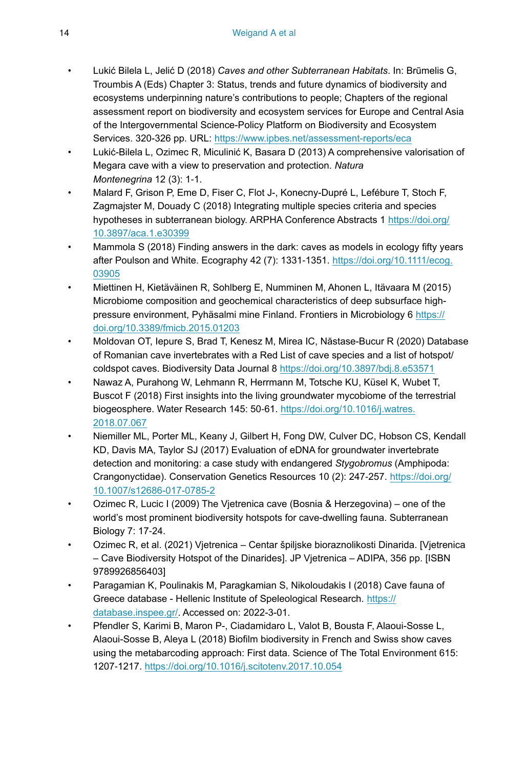- <span id="page-13-1"></span>• Lukić Bilela L, Jelić D (2018) *Caves and other Subterranean Habitats*. In: Brūmelis G, Troumbis A (Eds) Chapter 3: Status, trends and future dynamics of biodiversity and ecosystems underpinning nature's contributions to people; Chapters of the regional assessment report on biodiversity and ecosystem services for Europe and Central Asia of the Intergovernmental Science-Policy Platform on Biodiversity and Ecosystem Services. 320-326 pp. URL: <https://www.ipbes.net/assessment-reports/eca>
- <span id="page-13-2"></span>• Lukić-Bilela L, Ozimec R, Miculinić K, Basara D (2013) A comprehensive valorisation of Megara cave with a view to preservation and protection. *Natura Montenegrina* 12 (3): 1‑1.
- <span id="page-13-7"></span>• Malard F, Grison P, Eme D, Fiser C, Flot J-, Konecny-Dupré L, Lefébure T, Stoch F, Zagmajster M, Douady C (2018) Integrating multiple species criteria and species hypotheses in subterranean biology. ARPHA Conference Abstracts 1 [https://doi.org/](https://doi.org/10.3897/aca.1.e30399) [10.3897/aca.1.e30399](https://doi.org/10.3897/aca.1.e30399)
- <span id="page-13-0"></span>Mammola S (2018) Finding answers in the dark: caves as models in ecology fifty years after Poulson and White. Ecography 42 (7): 1331-1351. [https://doi.org/10.1111/ecog.](https://doi.org/10.1111/ecog.03905) [03905](https://doi.org/10.1111/ecog.03905)
- <span id="page-13-9"></span>• Miettinen H, Kietäväinen R, Sohlberg E, Numminen M, Ahonen L, Itävaara M (2015) Microbiome composition and geochemical characteristics of deep subsurface highpressure environment, Pyhäsalmi mine Finland. Frontiers in Microbiology 6 [https://](https://doi.org/10.3389/fmicb.2015.01203) [doi.org/10.3389/fmicb.2015.01203](https://doi.org/10.3389/fmicb.2015.01203)
- <span id="page-13-6"></span>• Moldovan OT, Iepure S, Brad T, Kenesz M, Mirea IC, Năstase-Bucur R (2020) Database of Romanian cave invertebrates with a Red List of cave species and a list of hotspot/ coldspot caves. Biodiversity Data Journal 8 <https://doi.org/10.3897/bdj.8.e53571>
- <span id="page-13-10"></span>• Nawaz A, Purahong W, Lehmann R, Herrmann M, Totsche KU, Küsel K, Wubet T, Buscot F (2018) First insights into the living groundwater mycobiome of the terrestrial biogeosphere. Water Research 145: 50-61. [https://doi.org/10.1016/j.watres.](https://doi.org/10.1016/j.watres.2018.07.067) [2018.07.067](https://doi.org/10.1016/j.watres.2018.07.067)
- <span id="page-13-8"></span>• Niemiller ML, Porter ML, Keany J, Gilbert H, Fong DW, Culver DC, Hobson CS, Kendall KD, Davis MA, Taylor SJ (2017) Evaluation of eDNA for groundwater invertebrate detection and monitoring: a case study with endangered *Stygobromus* (Amphipoda: Crangonyctidae). Conservation Genetics Resources 10 (2): 247-257. [https://doi.org/](https://doi.org/10.1007/s12686-017-0785-2) [10.1007/s12686-017-0785-2](https://doi.org/10.1007/s12686-017-0785-2)
- <span id="page-13-3"></span>• Ozimec R, Lucic I (2009) The Vjetrenica cave (Bosnia & Herzegovina) – one of the world's most prominent biodiversity hotspots for cave-dwelling fauna. Subterranean Biology 7: 17‑24.
- <span id="page-13-4"></span>• Ozimec R, et al. (2021) Vjetrenica – Centar špiljske bioraznolikosti Dinarida. [Vjetrenica – Cave Biodiversity Hotspot of the Dinarides]. JP Vjetrenica – ADIPA, 356 pp. [ISBN 9789926856403]
- <span id="page-13-5"></span>• Paragamian K, Poulinakis M, Paragkamian S, Nikoloudakis I (2018) Cave fauna of Greece database - Hellenic Institute of Speleological Research. [https://](https://database.inspee.gr/) [database.inspee.gr/.](https://database.inspee.gr/) Accessed on: 2022-3-01.
- <span id="page-13-11"></span>• Pfendler S, Karimi B, Maron P-, Ciadamidaro L, Valot B, Bousta F, Alaoui-Sosse L, Alaoui-Sosse B, Aleya L (2018) Biofilm biodiversity in French and Swiss show caves using the metabarcoding approach: First data. Science of The Total Environment 615: 1207‑1217.<https://doi.org/10.1016/j.scitotenv.2017.10.054>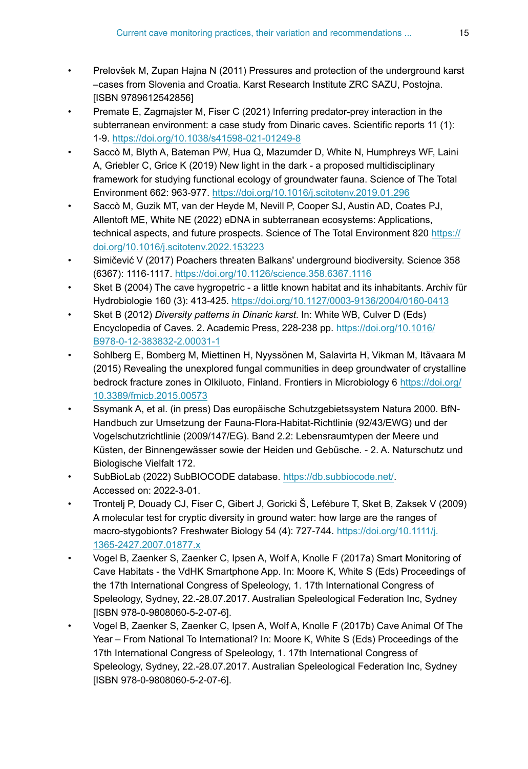- <span id="page-14-1"></span>• Prelovšek M, Zupan Hajna N (2011) Pressures and protection of the underground karst –cases from Slovenia and Croatia. Karst Research Institute ZRC SAZU, Postojna. [ISBN 9789612542856]
- <span id="page-14-9"></span>• Premate E, Zagmajster M, Fiser C (2021) Inferring predator-prey interaction in the subterranean environment: a case study from Dinaric caves. Scientific reports 11 (1): 1‑9. <https://doi.org/10.1038/s41598-021-01249-8>
- <span id="page-14-8"></span>• Saccò M, Blyth A, Bateman PW, Hua Q, Mazumder D, White N, Humphreys WF, Laini A, Griebler C, Grice K (2019) New light in the dark - a proposed multidisciplinary framework for studying functional ecology of groundwater fauna. Science of The Total Environment 662: 963‑977. <https://doi.org/10.1016/j.scitotenv.2019.01.296>
- <span id="page-14-11"></span>• Saccò M, Guzik MT, van der Heyde M, Nevill P, Cooper SJ, Austin AD, Coates PJ, Allentoft ME, White NE (2022) eDNA in subterranean ecosystems: Applications, technical aspects, and future prospects. Science of The Total Environment 820 [https://](https://doi.org/10.1016/j.scitotenv.2022.153223) [doi.org/10.1016/j.scitotenv.2022.153223](https://doi.org/10.1016/j.scitotenv.2022.153223)
- <span id="page-14-2"></span>• Simičević V (2017) Poachers threaten Balkans' underground biodiversity. Science 358 (6367): 1116‑1117. <https://doi.org/10.1126/science.358.6367.1116>
- <span id="page-14-5"></span>• Sket B (2004) The cave hygropetric - a little known habitat and its inhabitants. Archiv für Hydrobiologie 160 (3): 413‑425.<https://doi.org/10.1127/0003-9136/2004/0160-0413>
- <span id="page-14-3"></span>• Sket B (2012) *Diversity patterns in Dinaric karst*. In: White WB, Culver D (Eds) Encyclopedia of Caves. 2. Academic Press, 228-238 pp. [https://doi.org/10.1016/](https://doi.org/10.1016/B978-0-12-383832-2.00031-1) [B978-0-12-383832-2.00031-1](https://doi.org/10.1016/B978-0-12-383832-2.00031-1)
- <span id="page-14-12"></span>• Sohlberg E, Bomberg M, Miettinen H, Nyyssönen M, Salavirta H, Vikman M, Itävaara M (2015) Revealing the unexplored fungal communities in deep groundwater of crystalline bedrock fracture zones in Olkiluoto, Finland. Frontiers in Microbiology 6 [https://doi.org/](https://doi.org/10.3389/fmicb.2015.00573) [10.3389/fmicb.2015.00573](https://doi.org/10.3389/fmicb.2015.00573)
- <span id="page-14-0"></span>• Ssymank A, et al. (in press) Das europäische Schutzgebietssystem Natura 2000. BfN-Handbuch zur Umsetzung der Fauna-Flora-Habitat-Richtlinie (92/43/EWG) und der Vogelschutzrichtlinie (2009/147/EG). Band 2.2: Lebensraumtypen der Meere und Küsten, der Binnengewässer sowie der Heiden und Gebüsche. - 2. A. Naturschutz und Biologische Vielfalt 172.
- <span id="page-14-6"></span>SubBioLab (2022) SubBIOCODE database. [https://db.subbiocode.net/.](https://db.subbiocode.net/) Accessed on: 2022-3-01.
- <span id="page-14-10"></span>• Trontelj P, Douady CJ, Fiser C, Gibert J, Goricki Š, Lefébure T, Sket B, Zaksek V (2009) A molecular test for cryptic diversity in ground water: how large are the ranges of macro-stygobionts? Freshwater Biology 54 (4): 727-744. [https://doi.org/10.1111/j.](https://doi.org/10.1111/j.1365-2427.2007.01877.x) [1365-2427.2007.01877.x](https://doi.org/10.1111/j.1365-2427.2007.01877.x)
- <span id="page-14-7"></span>• Vogel B, Zaenker S, Zaenker C, Ipsen A, Wolf A, Knolle F (2017a) Smart Monitoring of Cave Habitats - the VdHK Smartphone App. In: Moore K, White S (Eds) Proceedings of the 17th International Congress of Speleology, 1. 17th International Congress of Speleology, Sydney, 22.-28.07.2017. Australian Speleological Federation Inc, Sydney [ISBN 978-0-9808060-5-2-07-6].
- <span id="page-14-4"></span>• Vogel B, Zaenker S, Zaenker C, Ipsen A, Wolf A, Knolle F (2017b) Cave Animal Of The Year – From National To International? In: Moore K, White S (Eds) Proceedings of the 17th International Congress of Speleology, 1. 17th International Congress of Speleology, Sydney, 22.-28.07.2017. Australian Speleological Federation Inc, Sydney [ISBN 978-0-9808060-5-2-07-6].